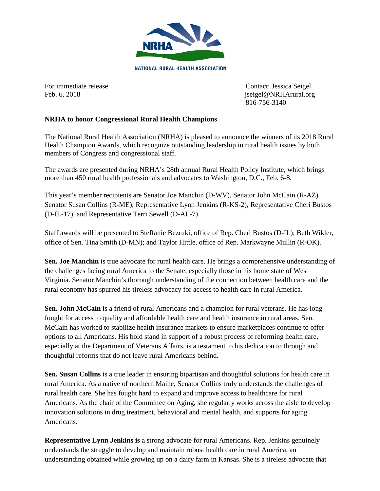

For immediate release Contact: Jessica Seigel Feb. 6, 2018 **jseigel@NRHArural.org** iseigel@NRHArural.org 816-756-3140

## **NRHA to honor Congressional Rural Health Champions**

The National Rural Health Association (NRHA) is pleased to announce the winners of its 2018 Rural Health Champion Awards, which recognize outstanding leadership in rural health issues by both members of Congress and congressional staff.

The awards are presented during NRHA's 28th annual Rural Health Policy Institute, which brings more than 450 rural health professionals and advocates to Washington, D.C., Feb. 6-8.

This year's member recipients are Senator Joe Manchin (D-WV), Senator John McCain (R-AZ) Senator Susan Collins (R-ME), Representative Lynn Jenkins (R-KS-2), Representative Cheri Bustos (D-IL-17), and Representative Terri Sewell (D-AL-7).

Staff awards will be presented to Steffanie Bezruki, office of Rep. Cheri Bustos (D-IL); Beth Wikler, office of Sen. Tina Smith (D-MN); and Taylor Hittle, office of Rep. Markwayne Mullin (R-OK).

**Sen. Joe Manchin** is true advocate for rural health care. He brings a comprehensive understanding of the challenges facing rural America to the Senate, especially those in his home state of West Virginia. Senator Manchin's thorough understanding of the connection between health care and the rural economy has spurred his tireless advocacy for access to health care in rural America.

**Sen. John McCain** is a friend of rural Americans and a champion for rural veterans. He has long fought for access to quality and affordable health care and health insurance in rural areas. Sen. McCain has worked to stabilize health insurance markets to ensure marketplaces continue to offer options to all Americans. His bold stand in support of a robust process of reforming health care, especially at the Department of Veterans Affairs, is a testament to his dedication to through and thoughtful reforms that do not leave rural Americans behind.

**Sen. Susan Collins** is a true leader in ensuring bipartisan and thoughtful solutions for health care in rural America. As a native of northern Maine, Senator Collins truly understands the challenges of rural health care. She has fought hard to expand and improve access to healthcare for rural Americans. As the chair of the Committee on Aging, she regularly works across the aisle to develop innovation solutions in drug treatment, behavioral and mental health, and supports for aging Americans.

**Representative Lynn Jenkins is** a strong advocate for rural Americans. Rep. Jenkins genuinely understands the struggle to develop and maintain robust health care in rural America, an understanding obtained while growing up on a dairy farm in Kansas. She is a tireless advocate that